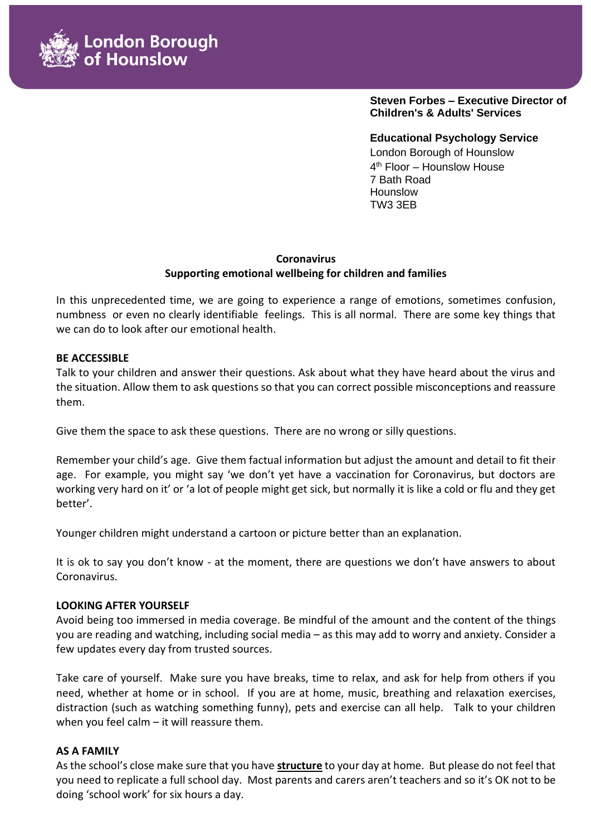

**Steven Forbes – Executive Director of Children's & Adults' Services**

**Educational Psychology Service**  London Borough of Hounslow 4 th Floor – Hounslow House 7 Bath Road Hounslow TW3 3EB

## **Coronavirus Supporting emotional wellbeing for children and families**

In this unprecedented time, we are going to experience a range of emotions, sometimes confusion, numbness or even no clearly identifiable feelings. This is all normal. There are some key things that we can do to look after our emotional health.

### **BE ACCESSIBLE**

Talk to your children and answer their questions. Ask about what they have heard about the virus and the situation. Allow them to ask questions so that you can correct possible misconceptions and reassure them.

Give them the space to ask these questions. There are no wrong or silly questions.

Remember your child's age. Give them factual information but adjust the amount and detail to fit their age. For example, you might say 'we don't yet have a vaccination for Coronavirus, but doctors are working very hard on it' or 'a lot of people might get sick, but normally it is like a cold or flu and they get better'.

Younger children might understand a cartoon or picture better than an explanation.

It is ok to say you don't know - at the moment, there are questions we don't have answers to about Coronavirus.

### **LOOKING AFTER YOURSELF**

Avoid being too immersed in media coverage. Be mindful of the amount and the content of the things you are reading and watching, including social media – as this may add to worry and anxiety. Consider a few updates every day from trusted sources.

Take care of yourself. Make sure you have breaks, time to relax, and ask for help from others if you need, whether at home or in school. If you are at home, music, breathing and relaxation exercises, distraction (such as watching something funny), pets and exercise can all help. Talk to your children when you feel calm – it will reassure them.

### **AS A FAMILY**

As the school's close make sure that you have **structure** to your day at home. But please do not feel that you need to replicate a full school day. Most parents and carers aren't teachers and so it's OK not to be doing 'school work' for six hours a day.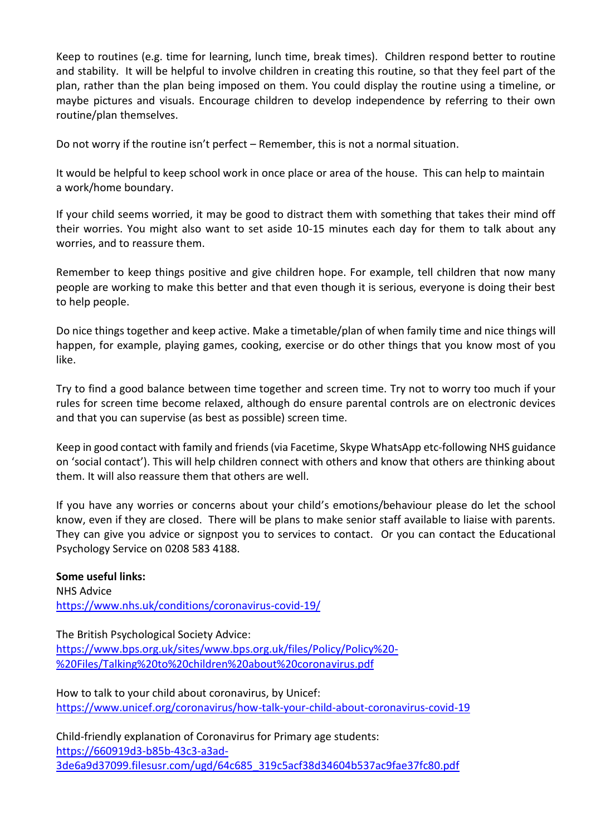Keep to routines (e.g. time for learning, lunch time, break times). Children respond better to routine and stability. It will be helpful to involve children in creating this routine, so that they feel part of the plan, rather than the plan being imposed on them. You could display the routine using a timeline, or maybe pictures and visuals. Encourage children to develop independence by referring to their own routine/plan themselves.

Do not worry if the routine isn't perfect – Remember, this is not a normal situation.

It would be helpful to keep school work in once place or area of the house. This can help to maintain a work/home boundary.

If your child seems worried, it may be good to distract them with something that takes their mind off their worries. You might also want to set aside 10-15 minutes each day for them to talk about any worries, and to reassure them.

Remember to keep things positive and give children hope. For example, tell children that now many people are working to make this better and that even though it is serious, everyone is doing their best to help people.

Do nice things together and keep active. Make a timetable/plan of when family time and nice things will happen, for example, playing games, cooking, exercise or do other things that you know most of you like.

Try to find a good balance between time together and screen time. Try not to worry too much if your rules for screen time become relaxed, although do ensure parental controls are on electronic devices and that you can supervise (as best as possible) screen time.

Keep in good contact with family and friends (via Facetime, Skype WhatsApp etc-following NHS guidance on 'social contact'). This will help children connect with others and know that others are thinking about them. It will also reassure them that others are well.

If you have any worries or concerns about your child's emotions/behaviour please do let the school know, even if they are closed. There will be plans to make senior staff available to liaise with parents. They can give you advice or signpost you to services to contact. Or you can contact the Educational Psychology Service on 0208 583 4188.

# **Some useful links:**  NHS Advice <https://www.nhs.uk/conditions/coronavirus-covid-19/>

The British Psychological Society Advice: [https://www.bps.org.uk/sites/www.bps.org.uk/files/Policy/Policy%20-](https://www.bps.org.uk/sites/www.bps.org.uk/files/Policy/Policy%20-%20Files/Talking%20to%20children%20about%20coronavirus.pdf) [%20Files/Talking%20to%20children%20about%20coronavirus.pdf](https://www.bps.org.uk/sites/www.bps.org.uk/files/Policy/Policy%20-%20Files/Talking%20to%20children%20about%20coronavirus.pdf)

How to talk to your child about coronavirus, by Unicef: <https://www.unicef.org/coronavirus/how-talk-your-child-about-coronavirus-covid-19>

Child-friendly explanation of Coronavirus for Primary age students: [https://660919d3-b85b-43c3-a3ad-](https://660919d3-b85b-43c3-a3ad-3de6a9d37099.filesusr.com/ugd/64c685_319c5acf38d34604b537ac9fae37fc80.pdf)[3de6a9d37099.filesusr.com/ugd/64c685\\_319c5acf38d34604b537ac9fae37fc80.pdf](https://660919d3-b85b-43c3-a3ad-3de6a9d37099.filesusr.com/ugd/64c685_319c5acf38d34604b537ac9fae37fc80.pdf)